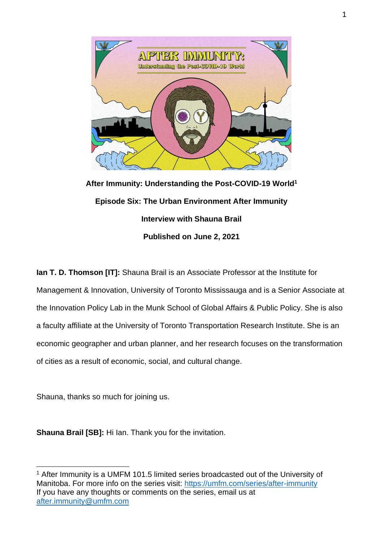

**After Immunity: Understanding the Post-COVID-19 World<sup>1</sup> Episode Six: The Urban Environment After Immunity Interview with Shauna Brail Published on June 2, 2021**

**Ian T. D. Thomson [IT]:** Shauna Brail is an Associate Professor at the Institute for Management & Innovation, University of Toronto Mississauga and is a Senior Associate at the Innovation Policy Lab in the Munk School of Global Affairs & Public Policy. She is also a faculty affiliate at the University of Toronto Transportation Research Institute. She is an economic geographer and urban planner, and her research focuses on the transformation of cities as a result of economic, social, and cultural change.

Shauna, thanks so much for joining us.

**Shauna Brail [SB]:** Hi Ian. Thank you for the invitation.

<sup>&</sup>lt;sup>1</sup> After Immunity is a UMFM 101.5 limited series broadcasted out of the University of Manitoba. For more info on the series visit:<https://umfm.com/series/after-immunity> If you have any thoughts or comments on the series, email us at [after.immunity@umfm.com](mailto:after.immunity@umfm.com)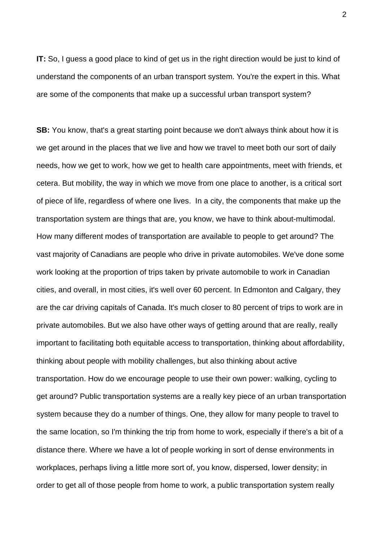**IT:** So, I guess a good place to kind of get us in the right direction would be just to kind of understand the components of an urban transport system. You're the expert in this. What are some of the components that make up a successful urban transport system?

**SB:** You know, that's a great starting point because we don't always think about how it is we get around in the places that we live and how we travel to meet both our sort of daily needs, how we get to work, how we get to health care appointments, meet with friends, et cetera. But mobility, the way in which we move from one place to another, is a critical sort of piece of life, regardless of where one lives. In a city, the components that make up the transportation system are things that are, you know, we have to think about-multimodal. How many different modes of transportation are available to people to get around? The vast majority of Canadians are people who drive in private automobiles. We've done some work looking at the proportion of trips taken by private automobile to work in Canadian cities, and overall, in most cities, it's well over 60 percent. In Edmonton and Calgary, they are the car driving capitals of Canada. It's much closer to 80 percent of trips to work are in private automobiles. But we also have other ways of getting around that are really, really important to facilitating both equitable access to transportation, thinking about affordability, thinking about people with mobility challenges, but also thinking about active transportation. How do we encourage people to use their own power: walking, cycling to get around? Public transportation systems are a really key piece of an urban transportation system because they do a number of things. One, they allow for many people to travel to the same location, so I'm thinking the trip from home to work, especially if there's a bit of a distance there. Where we have a lot of people working in sort of dense environments in workplaces, perhaps living a little more sort of, you know, dispersed, lower density; in order to get all of those people from home to work, a public transportation system really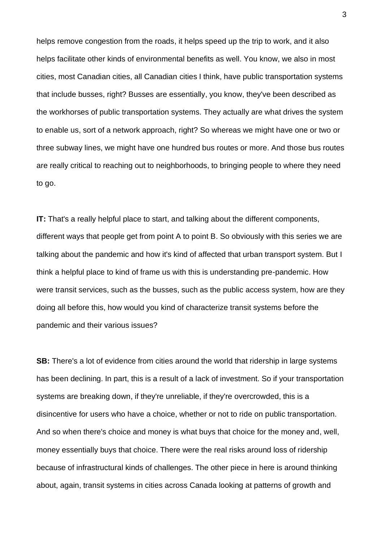helps remove congestion from the roads, it helps speed up the trip to work, and it also helps facilitate other kinds of environmental benefits as well. You know, we also in most cities, most Canadian cities, all Canadian cities I think, have public transportation systems that include busses, right? Busses are essentially, you know, they've been described as the workhorses of public transportation systems. They actually are what drives the system to enable us, sort of a network approach, right? So whereas we might have one or two or three subway lines, we might have one hundred bus routes or more. And those bus routes are really critical to reaching out to neighborhoods, to bringing people to where they need to go.

**IT:** That's a really helpful place to start, and talking about the different components, different ways that people get from point A to point B. So obviously with this series we are talking about the pandemic and how it's kind of affected that urban transport system. But I think a helpful place to kind of frame us with this is understanding pre-pandemic. How were transit services, such as the busses, such as the public access system, how are they doing all before this, how would you kind of characterize transit systems before the pandemic and their various issues?

**SB:** There's a lot of evidence from cities around the world that ridership in large systems has been declining. In part, this is a result of a lack of investment. So if your transportation systems are breaking down, if they're unreliable, if they're overcrowded, this is a disincentive for users who have a choice, whether or not to ride on public transportation. And so when there's choice and money is what buys that choice for the money and, well, money essentially buys that choice. There were the real risks around loss of ridership because of infrastructural kinds of challenges. The other piece in here is around thinking about, again, transit systems in cities across Canada looking at patterns of growth and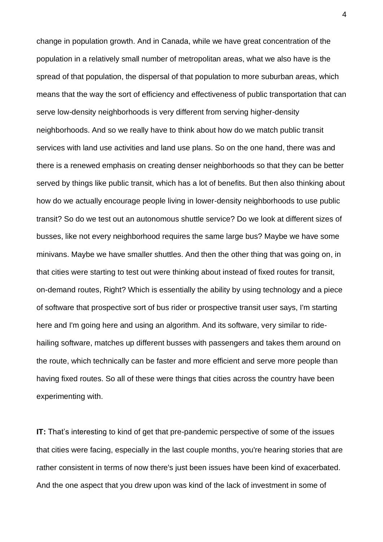change in population growth. And in Canada, while we have great concentration of the population in a relatively small number of metropolitan areas, what we also have is the spread of that population, the dispersal of that population to more suburban areas, which means that the way the sort of efficiency and effectiveness of public transportation that can serve low-density neighborhoods is very different from serving higher-density neighborhoods. And so we really have to think about how do we match public transit services with land use activities and land use plans. So on the one hand, there was and there is a renewed emphasis on creating denser neighborhoods so that they can be better served by things like public transit, which has a lot of benefits. But then also thinking about how do we actually encourage people living in lower-density neighborhoods to use public transit? So do we test out an autonomous shuttle service? Do we look at different sizes of busses, like not every neighborhood requires the same large bus? Maybe we have some minivans. Maybe we have smaller shuttles. And then the other thing that was going on, in that cities were starting to test out were thinking about instead of fixed routes for transit, on-demand routes, Right? Which is essentially the ability by using technology and a piece of software that prospective sort of bus rider or prospective transit user says, I'm starting here and I'm going here and using an algorithm. And its software, very similar to ridehailing software, matches up different busses with passengers and takes them around on the route, which technically can be faster and more efficient and serve more people than having fixed routes. So all of these were things that cities across the country have been experimenting with.

**IT:** That's interesting to kind of get that pre-pandemic perspective of some of the issues that cities were facing, especially in the last couple months, you're hearing stories that are rather consistent in terms of now there's just been issues have been kind of exacerbated. And the one aspect that you drew upon was kind of the lack of investment in some of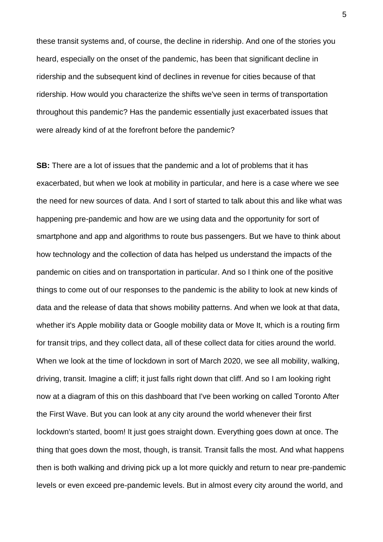these transit systems and, of course, the decline in ridership. And one of the stories you heard, especially on the onset of the pandemic, has been that significant decline in ridership and the subsequent kind of declines in revenue for cities because of that ridership. How would you characterize the shifts we've seen in terms of transportation throughout this pandemic? Has the pandemic essentially just exacerbated issues that were already kind of at the forefront before the pandemic?

**SB:** There are a lot of issues that the pandemic and a lot of problems that it has exacerbated, but when we look at mobility in particular, and here is a case where we see the need for new sources of data. And I sort of started to talk about this and like what was happening pre-pandemic and how are we using data and the opportunity for sort of smartphone and app and algorithms to route bus passengers. But we have to think about how technology and the collection of data has helped us understand the impacts of the pandemic on cities and on transportation in particular. And so I think one of the positive things to come out of our responses to the pandemic is the ability to look at new kinds of data and the release of data that shows mobility patterns. And when we look at that data, whether it's Apple mobility data or Google mobility data or Move It, which is a routing firm for transit trips, and they collect data, all of these collect data for cities around the world. When we look at the time of lockdown in sort of March 2020, we see all mobility, walking, driving, transit. Imagine a cliff; it just falls right down that cliff. And so I am looking right now at a diagram of this on this dashboard that I've been working on called Toronto After the First Wave. But you can look at any city around the world whenever their first lockdown's started, boom! It just goes straight down. Everything goes down at once. The thing that goes down the most, though, is transit. Transit falls the most. And what happens then is both walking and driving pick up a lot more quickly and return to near pre-pandemic levels or even exceed pre-pandemic levels. But in almost every city around the world, and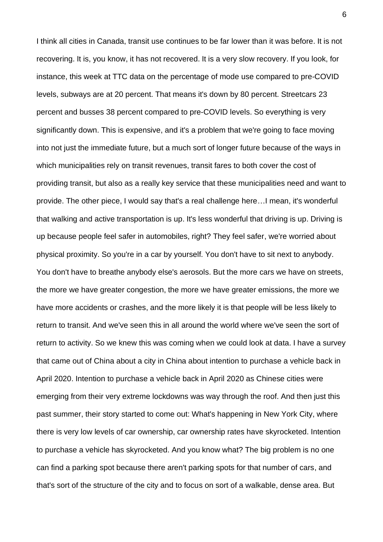I think all cities in Canada, transit use continues to be far lower than it was before. It is not recovering. It is, you know, it has not recovered. It is a very slow recovery. If you look, for instance, this week at TTC data on the percentage of mode use compared to pre-COVID levels, subways are at 20 percent. That means it's down by 80 percent. Streetcars 23 percent and busses 38 percent compared to pre-COVID levels. So everything is very significantly down. This is expensive, and it's a problem that we're going to face moving into not just the immediate future, but a much sort of longer future because of the ways in which municipalities rely on transit revenues, transit fares to both cover the cost of providing transit, but also as a really key service that these municipalities need and want to provide. The other piece, I would say that's a real challenge here…I mean, it's wonderful that walking and active transportation is up. It's less wonderful that driving is up. Driving is up because people feel safer in automobiles, right? They feel safer, we're worried about physical proximity. So you're in a car by yourself. You don't have to sit next to anybody. You don't have to breathe anybody else's aerosols. But the more cars we have on streets, the more we have greater congestion, the more we have greater emissions, the more we have more accidents or crashes, and the more likely it is that people will be less likely to return to transit. And we've seen this in all around the world where we've seen the sort of return to activity. So we knew this was coming when we could look at data. I have a survey that came out of China about a city in China about intention to purchase a vehicle back in April 2020. Intention to purchase a vehicle back in April 2020 as Chinese cities were emerging from their very extreme lockdowns was way through the roof. And then just this past summer, their story started to come out: What's happening in New York City, where there is very low levels of car ownership, car ownership rates have skyrocketed. Intention to purchase a vehicle has skyrocketed. And you know what? The big problem is no one can find a parking spot because there aren't parking spots for that number of cars, and that's sort of the structure of the city and to focus on sort of a walkable, dense area. But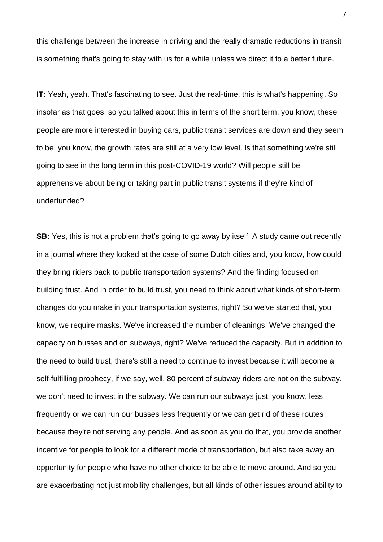this challenge between the increase in driving and the really dramatic reductions in transit is something that's going to stay with us for a while unless we direct it to a better future.

**IT:** Yeah, yeah. That's fascinating to see. Just the real-time, this is what's happening. So insofar as that goes, so you talked about this in terms of the short term, you know, these people are more interested in buying cars, public transit services are down and they seem to be, you know, the growth rates are still at a very low level. Is that something we're still going to see in the long term in this post-COVID-19 world? Will people still be apprehensive about being or taking part in public transit systems if they're kind of underfunded?

**SB:** Yes, this is not a problem that's going to go away by itself. A study came out recently in a journal where they looked at the case of some Dutch cities and, you know, how could they bring riders back to public transportation systems? And the finding focused on building trust. And in order to build trust, you need to think about what kinds of short-term changes do you make in your transportation systems, right? So we've started that, you know, we require masks. We've increased the number of cleanings. We've changed the capacity on busses and on subways, right? We've reduced the capacity. But in addition to the need to build trust, there's still a need to continue to invest because it will become a self-fulfilling prophecy, if we say, well, 80 percent of subway riders are not on the subway, we don't need to invest in the subway. We can run our subways just, you know, less frequently or we can run our busses less frequently or we can get rid of these routes because they're not serving any people. And as soon as you do that, you provide another incentive for people to look for a different mode of transportation, but also take away an opportunity for people who have no other choice to be able to move around. And so you are exacerbating not just mobility challenges, but all kinds of other issues around ability to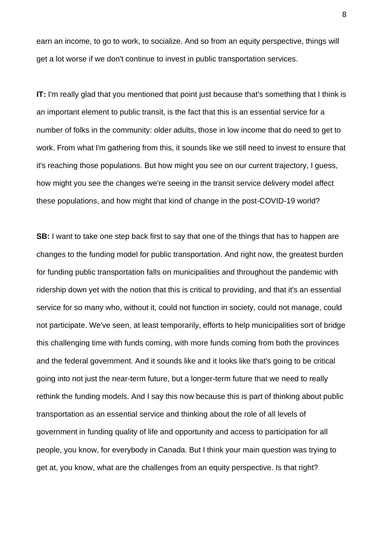earn an income, to go to work, to socialize. And so from an equity perspective, things will get a lot worse if we don't continue to invest in public transportation services.

**IT:** I'm really glad that you mentioned that point just because that's something that I think is an important element to public transit, is the fact that this is an essential service for a number of folks in the community: older adults, those in low income that do need to get to work. From what I'm gathering from this, it sounds like we still need to invest to ensure that it's reaching those populations. But how might you see on our current trajectory, I guess, how might you see the changes we're seeing in the transit service delivery model affect these populations, and how might that kind of change in the post-COVID-19 world?

**SB:** I want to take one step back first to say that one of the things that has to happen are changes to the funding model for public transportation. And right now, the greatest burden for funding public transportation falls on municipalities and throughout the pandemic with ridership down yet with the notion that this is critical to providing, and that it's an essential service for so many who, without it, could not function in society, could not manage, could not participate. We've seen, at least temporarily, efforts to help municipalities sort of bridge this challenging time with funds coming, with more funds coming from both the provinces and the federal government. And it sounds like and it looks like that's going to be critical going into not just the near-term future, but a longer-term future that we need to really rethink the funding models. And I say this now because this is part of thinking about public transportation as an essential service and thinking about the role of all levels of government in funding quality of life and opportunity and access to participation for all people, you know, for everybody in Canada. But I think your main question was trying to get at, you know, what are the challenges from an equity perspective. Is that right?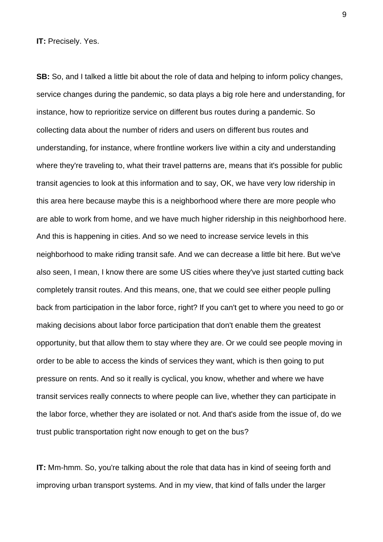**IT:** Precisely. Yes.

**SB:** So, and I talked a little bit about the role of data and helping to inform policy changes, service changes during the pandemic, so data plays a big role here and understanding, for instance, how to reprioritize service on different bus routes during a pandemic. So collecting data about the number of riders and users on different bus routes and understanding, for instance, where frontline workers live within a city and understanding where they're traveling to, what their travel patterns are, means that it's possible for public transit agencies to look at this information and to say, OK, we have very low ridership in this area here because maybe this is a neighborhood where there are more people who are able to work from home, and we have much higher ridership in this neighborhood here. And this is happening in cities. And so we need to increase service levels in this neighborhood to make riding transit safe. And we can decrease a little bit here. But we've also seen, I mean, I know there are some US cities where they've just started cutting back completely transit routes. And this means, one, that we could see either people pulling back from participation in the labor force, right? If you can't get to where you need to go or making decisions about labor force participation that don't enable them the greatest opportunity, but that allow them to stay where they are. Or we could see people moving in order to be able to access the kinds of services they want, which is then going to put pressure on rents. And so it really is cyclical, you know, whether and where we have transit services really connects to where people can live, whether they can participate in the labor force, whether they are isolated or not. And that's aside from the issue of, do we trust public transportation right now enough to get on the bus?

**IT:** Mm-hmm. So, you're talking about the role that data has in kind of seeing forth and improving urban transport systems. And in my view, that kind of falls under the larger

9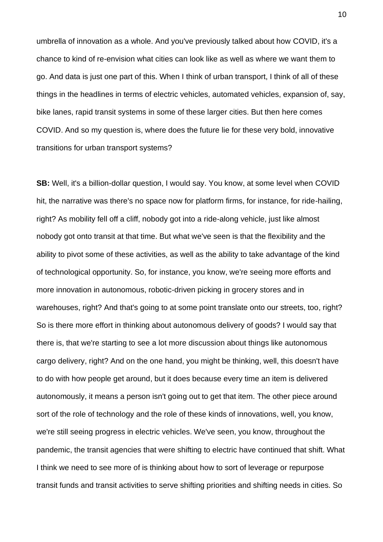umbrella of innovation as a whole. And you've previously talked about how COVID, it's a chance to kind of re-envision what cities can look like as well as where we want them to go. And data is just one part of this. When I think of urban transport, I think of all of these things in the headlines in terms of electric vehicles, automated vehicles, expansion of, say, bike lanes, rapid transit systems in some of these larger cities. But then here comes COVID. And so my question is, where does the future lie for these very bold, innovative transitions for urban transport systems?

**SB:** Well, it's a billion-dollar question, I would say. You know, at some level when COVID hit, the narrative was there's no space now for platform firms, for instance, for ride-hailing, right? As mobility fell off a cliff, nobody got into a ride-along vehicle, just like almost nobody got onto transit at that time. But what we've seen is that the flexibility and the ability to pivot some of these activities, as well as the ability to take advantage of the kind of technological opportunity. So, for instance, you know, we're seeing more efforts and more innovation in autonomous, robotic-driven picking in grocery stores and in warehouses, right? And that's going to at some point translate onto our streets, too, right? So is there more effort in thinking about autonomous delivery of goods? I would say that there is, that we're starting to see a lot more discussion about things like autonomous cargo delivery, right? And on the one hand, you might be thinking, well, this doesn't have to do with how people get around, but it does because every time an item is delivered autonomously, it means a person isn't going out to get that item. The other piece around sort of the role of technology and the role of these kinds of innovations, well, you know, we're still seeing progress in electric vehicles. We've seen, you know, throughout the pandemic, the transit agencies that were shifting to electric have continued that shift. What I think we need to see more of is thinking about how to sort of leverage or repurpose transit funds and transit activities to serve shifting priorities and shifting needs in cities. So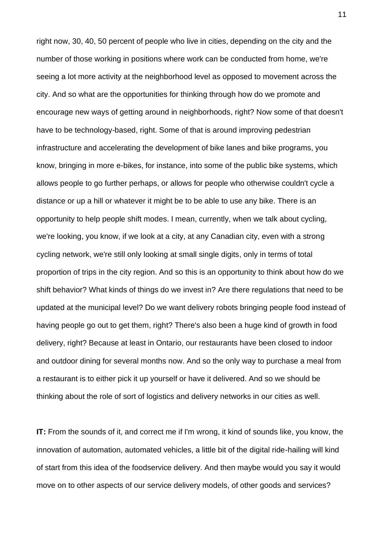right now, 30, 40, 50 percent of people who live in cities, depending on the city and the number of those working in positions where work can be conducted from home, we're seeing a lot more activity at the neighborhood level as opposed to movement across the city. And so what are the opportunities for thinking through how do we promote and encourage new ways of getting around in neighborhoods, right? Now some of that doesn't have to be technology-based, right. Some of that is around improving pedestrian infrastructure and accelerating the development of bike lanes and bike programs, you know, bringing in more e-bikes, for instance, into some of the public bike systems, which allows people to go further perhaps, or allows for people who otherwise couldn't cycle a distance or up a hill or whatever it might be to be able to use any bike. There is an opportunity to help people shift modes. I mean, currently, when we talk about cycling, we're looking, you know, if we look at a city, at any Canadian city, even with a strong cycling network, we're still only looking at small single digits, only in terms of total proportion of trips in the city region. And so this is an opportunity to think about how do we shift behavior? What kinds of things do we invest in? Are there regulations that need to be updated at the municipal level? Do we want delivery robots bringing people food instead of having people go out to get them, right? There's also been a huge kind of growth in food delivery, right? Because at least in Ontario, our restaurants have been closed to indoor and outdoor dining for several months now. And so the only way to purchase a meal from a restaurant is to either pick it up yourself or have it delivered. And so we should be thinking about the role of sort of logistics and delivery networks in our cities as well.

**IT:** From the sounds of it, and correct me if I'm wrong, it kind of sounds like, you know, the innovation of automation, automated vehicles, a little bit of the digital ride-hailing will kind of start from this idea of the foodservice delivery. And then maybe would you say it would move on to other aspects of our service delivery models, of other goods and services?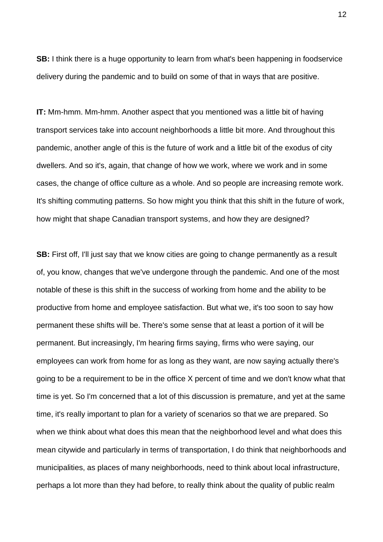**SB:** I think there is a huge opportunity to learn from what's been happening in foodservice delivery during the pandemic and to build on some of that in ways that are positive.

**IT:** Mm-hmm. Mm-hmm. Another aspect that you mentioned was a little bit of having transport services take into account neighborhoods a little bit more. And throughout this pandemic, another angle of this is the future of work and a little bit of the exodus of city dwellers. And so it's, again, that change of how we work, where we work and in some cases, the change of office culture as a whole. And so people are increasing remote work. It's shifting commuting patterns. So how might you think that this shift in the future of work, how might that shape Canadian transport systems, and how they are designed?

**SB:** First off, I'll just say that we know cities are going to change permanently as a result of, you know, changes that we've undergone through the pandemic. And one of the most notable of these is this shift in the success of working from home and the ability to be productive from home and employee satisfaction. But what we, it's too soon to say how permanent these shifts will be. There's some sense that at least a portion of it will be permanent. But increasingly, I'm hearing firms saying, firms who were saying, our employees can work from home for as long as they want, are now saying actually there's going to be a requirement to be in the office X percent of time and we don't know what that time is yet. So I'm concerned that a lot of this discussion is premature, and yet at the same time, it's really important to plan for a variety of scenarios so that we are prepared. So when we think about what does this mean that the neighborhood level and what does this mean citywide and particularly in terms of transportation, I do think that neighborhoods and municipalities, as places of many neighborhoods, need to think about local infrastructure, perhaps a lot more than they had before, to really think about the quality of public realm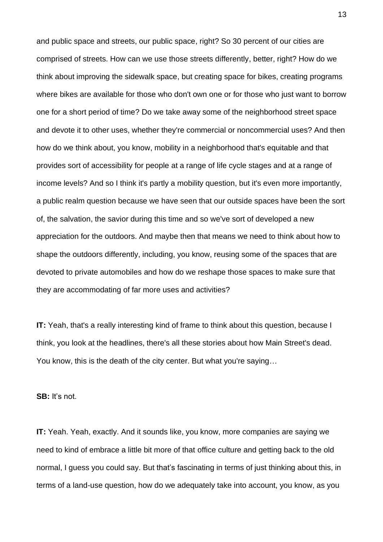and public space and streets, our public space, right? So 30 percent of our cities are comprised of streets. How can we use those streets differently, better, right? How do we think about improving the sidewalk space, but creating space for bikes, creating programs where bikes are available for those who don't own one or for those who just want to borrow one for a short period of time? Do we take away some of the neighborhood street space and devote it to other uses, whether they're commercial or noncommercial uses? And then how do we think about, you know, mobility in a neighborhood that's equitable and that provides sort of accessibility for people at a range of life cycle stages and at a range of income levels? And so I think it's partly a mobility question, but it's even more importantly, a public realm question because we have seen that our outside spaces have been the sort of, the salvation, the savior during this time and so we've sort of developed a new appreciation for the outdoors. And maybe then that means we need to think about how to shape the outdoors differently, including, you know, reusing some of the spaces that are devoted to private automobiles and how do we reshape those spaces to make sure that they are accommodating of far more uses and activities?

**IT:** Yeah, that's a really interesting kind of frame to think about this question, because I think, you look at the headlines, there's all these stories about how Main Street's dead. You know, this is the death of the city center. But what you're saying…

**SB:** It's not.

**IT:** Yeah. Yeah, exactly. And it sounds like, you know, more companies are saying we need to kind of embrace a little bit more of that office culture and getting back to the old normal, I guess you could say. But that's fascinating in terms of just thinking about this, in terms of a land-use question, how do we adequately take into account, you know, as you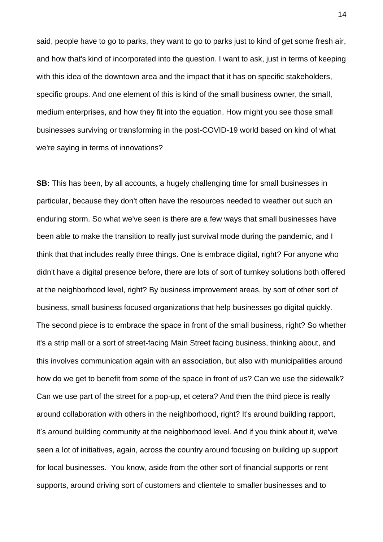said, people have to go to parks, they want to go to parks just to kind of get some fresh air, and how that's kind of incorporated into the question. I want to ask, just in terms of keeping with this idea of the downtown area and the impact that it has on specific stakeholders, specific groups. And one element of this is kind of the small business owner, the small, medium enterprises, and how they fit into the equation. How might you see those small businesses surviving or transforming in the post-COVID-19 world based on kind of what we're saying in terms of innovations?

**SB:** This has been, by all accounts, a hugely challenging time for small businesses in particular, because they don't often have the resources needed to weather out such an enduring storm. So what we've seen is there are a few ways that small businesses have been able to make the transition to really just survival mode during the pandemic, and I think that that includes really three things. One is embrace digital, right? For anyone who didn't have a digital presence before, there are lots of sort of turnkey solutions both offered at the neighborhood level, right? By business improvement areas, by sort of other sort of business, small business focused organizations that help businesses go digital quickly. The second piece is to embrace the space in front of the small business, right? So whether it's a strip mall or a sort of street-facing Main Street facing business, thinking about, and this involves communication again with an association, but also with municipalities around how do we get to benefit from some of the space in front of us? Can we use the sidewalk? Can we use part of the street for a pop-up, et cetera? And then the third piece is really around collaboration with others in the neighborhood, right? It's around building rapport, it's around building community at the neighborhood level. And if you think about it, we've seen a lot of initiatives, again, across the country around focusing on building up support for local businesses. You know, aside from the other sort of financial supports or rent supports, around driving sort of customers and clientele to smaller businesses and to

14